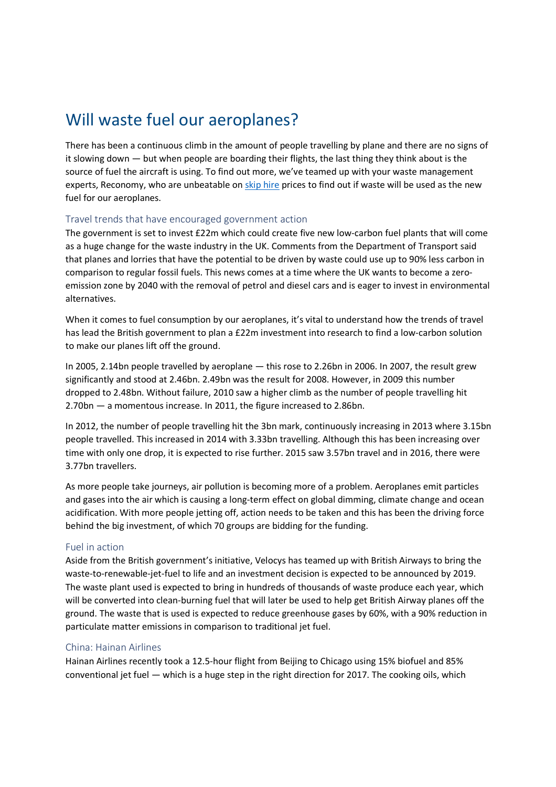# Will waste fuel our aeroplanes?

There has been a continuous climb in the amount of people travelling by plane and there are no signs of it slowing down — but when people are boarding their flights, the last thing they think about is the source of fuel the aircraft is using. To find out more, we've teamed up with your waste management experts, Reconomy, who are unbeatable on skip hire prices to find out if waste will be used as the new fuel for our aeroplanes.

## Travel trends that have encouraged government action

The government is set to invest £22m which could create five new low-carbon fuel plants that will come as a huge change for the waste industry in the UK. Comments from the Department of Transport said that planes and lorries that have the potential to be driven by waste could use up to 90% less carbon in comparison to regular fossil fuels. This news comes at a time where the UK wants to become a zeroemission zone by 2040 with the removal of petrol and diesel cars and is eager to invest in environmental alternatives.

When it comes to fuel consumption by our aeroplanes, it's vital to understand how the trends of travel has lead the British government to plan a £22m investment into research to find a low-carbon solution to make our planes lift off the ground.

In 2005, 2.14bn people travelled by aeroplane — this rose to 2.26bn in 2006. In 2007, the result grew significantly and stood at 2.46bn. 2.49bn was the result for 2008. However, in 2009 this number dropped to 2.48bn. Without failure, 2010 saw a higher climb as the number of people travelling hit 2.70bn — a momentous increase. In 2011, the figure increased to 2.86bn.

In 2012, the number of people travelling hit the 3bn mark, continuously increasing in 2013 where 3.15bn people travelled. This increased in 2014 with 3.33bn travelling. Although this has been increasing over time with only one drop, it is expected to rise further. 2015 saw 3.57bn travel and in 2016, there were 3.77bn travellers.

As more people take journeys, air pollution is becoming more of a problem. Aeroplanes emit particles and gases into the air which is causing a long-term effect on global dimming, climate change and ocean acidification. With more people jetting off, action needs to be taken and this has been the driving force behind the big investment, of which 70 groups are bidding for the funding.

### Fuel in action

Aside from the British government's initiative, Velocys has teamed up with British Airways to bring the waste-to-renewable-jet-fuel to life and an investment decision is expected to be announced by 2019. The waste plant used is expected to bring in hundreds of thousands of waste produce each year, which will be converted into clean-burning fuel that will later be used to help get British Airway planes off the ground. The waste that is used is expected to reduce greenhouse gases by 60%, with a 90% reduction in particulate matter emissions in comparison to traditional jet fuel.

### China: Hainan Airlines

Hainan Airlines recently took a 12.5-hour flight from Beijing to Chicago using 15% biofuel and 85% conventional jet fuel — which is a huge step in the right direction for 2017. The cooking oils, which